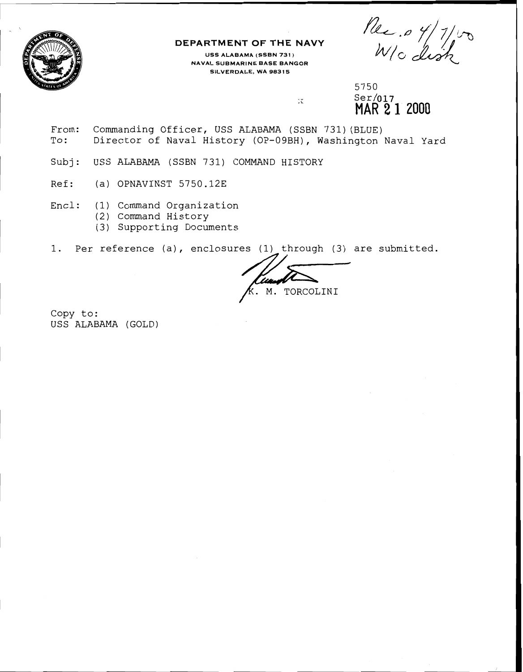

## **DEPARTMENT OF THE NAVY**

**USS ALABAMA (SSBN 731** ) **N A V A L S U B M A R I N E BASE BANGOR SILVERDALE, WA 98315** 

 $\text{Ser}/\text{017}$ **MAR 2 1** 2000

- From: Commanding Officer, USS ALABAMA (SSBN 731) (BLUE) To: Director of Naval History (OP-09BH), Washington Naval Yard DEPARTMENT OF THE NAVY<br>
SESALARMA(SSEN 731)<br>
NAVIS SURARMA(SSEN 731)<br>
SELALARMA(SSEN 731)<br>
SELALARMA (SSEN 731) (BLUE)<br>
Trom: Commanding Officer, USS ALABAMA (SSEN 731) (BLUE)<br>
NAR 21 2000<br>
Crom: Commanding Officer, USS AL
- Subj: USS ALABAMA (SSBN 731) COMMAND HISTORY
- Ref: (a) OPNAVINST 5750.12E
- Encl: (1) Command Organization
	- (2) Command History
	- (3) Supporting Documents

Copy to: USS ALABAMA (GOLD)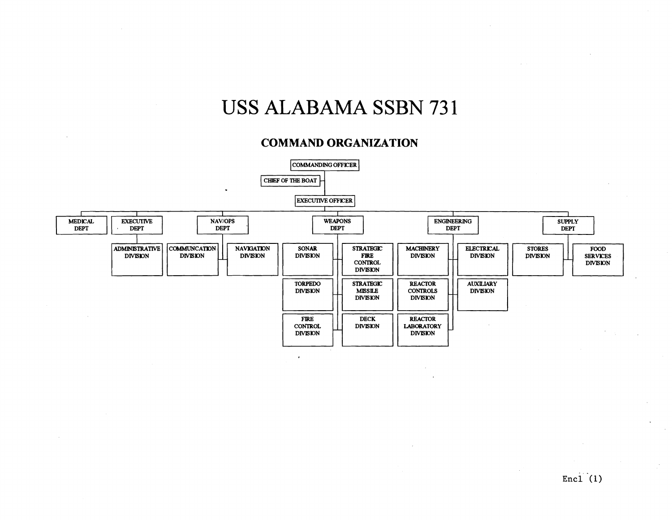## **USS ALABAMA SSBN 731**

## **COMMAND ORGANIZATION**

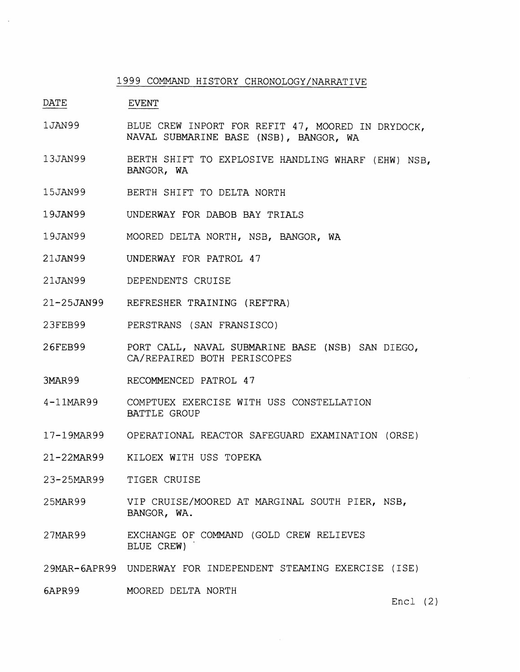## 1999 COMMAND HISTORY CHRONOLOGY/NARRATIVE

DATE EVENT

- 1 JAN99 BLUE CREW INPORT FOR REFIT 47, MOORED IN DRYDOCK, NAVAL SUBMARINE BASE (NSB), BANGOR, WA
- 13JAN99 BERTH SHIFT TO EXPLOSIVE HANDLING WHARF (EHW) NSB, BANGOR, WA
- 15JAN99 BERTH SHIFT TO DELTA NORTH
- 19JAN99 UNDERWAY FOR DABOB BAY TRIALS
- 19JRN99 MOORED DELTA NORTH, NSB, BANGOR, WA
- 21JAN99 UNDERWAY FOR PATROL 47
- 21JAN99 DEPENDENTS CRUISE
- 21-25JAN99 REFRESHER TRAINING (REFTRA)
- 23FEB99 PERSTRANS (SAN FRANSISCO)
- 26FEB99 PORT CALL, NAVAL SUBMARINE BASE (NSB) SAN DIEGO, CA/REPAIRED BOTH PERISCOPES
- 3MAR99 RECOMMENCED PATROL 47
- 4-llMAR99 COMPTUEX EXERCISE WITH USS CONSTELLATION BATTLE GROUP
- 17-19MAR99 OPERATIONAL REACTOR SAFEGUARD EXAMINATION (ORSE)
- 21-22MAR99 KILOEX WITH USS TOPEKA
- 23-25MAR99 TIGER CRUISE
- 2 5MAR9 9 VIP CRUISE/MOORED AT MARGINAL SOUTH PIER, NSB, BANGOR, WA.
- 27MAR99 EXCHANGE OF COMMAND (GOLD CREW RELIEVES BLUE CREW)
- 29MAR-6APR99 UNDERWAY FOR INDEPENDENT STEAMING EXERCISE (ISE)
- 6APR99 MOORED DELTA NORTH

Encl (2)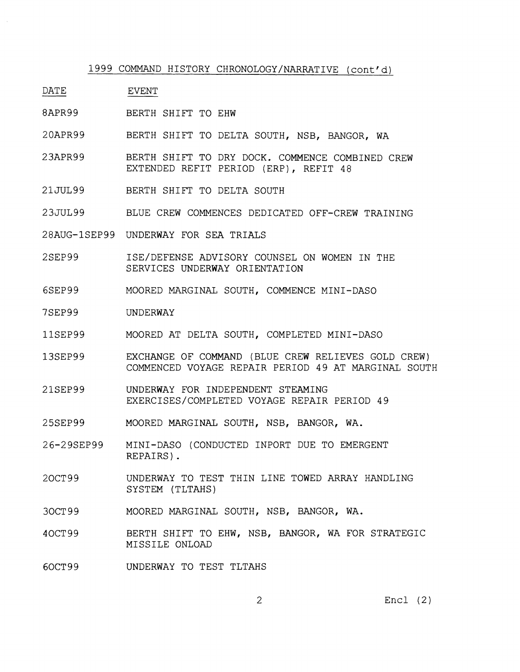1999 COMMAND HISTORY CHRONOLOGY/NARRATIVE (cont'd)

- DATE EVENT
- 8APR99 BERTH SHIFT TO EHW
- 20APR99 BERTH SHIFT TO DELTA SOUTH, NSB, BANGOR, WA
- 23APR99 BERTH SHIFT TO DRY DOCK. COMMENCE COMBINED CREW EXTENDED REFIT PERIOD (ERP), REFIT 48
- 21JUL99 BERTH SHIFT TO DELTA SOUTH
- 23JUL99 BLUE CREW COMMENCES DEDICATED OFF-CREW TRAINING
- 28AUG-1SEP99 UNDERWAY FOR SEA TRIALS
- 2SEP99 ISE/DEFENSE ADVISORY COUNSEL ON WOMEN IN THE SERVICES UNDERWAY ORIENTATION
- 6SEP99 MOORED MARGINAL SOUTH, COMMENCE MINI-DASO
- 7SEP99 UNDERWAY
- 11SEP99 MOORED AT DELTA SOUTH, COMPLETED MINI-DASO
- 13SEP99 EXCHANGE OF COMMAND (BLUE CREW RELIEVES GOLD CREW) COMMENCED VOYAGE REPAIR PERIOD 49 AT MARGINAL SOUTH
- 21SEP99 UNDERWAY FOR INDEPENDENT STEAMING EXERCISES/COMPLETED VOYAGE REPAIR PERIOD 49
- 25SEP99 MOORED MARGINAL SOUTH, NSB, BANGOR, WA.
- 26-29SEP99 MINI-DASO (CONDUCTED INPORT DUE TO EMERGENT REPAIRS) .
- 20CT99 UNDERWAY TO TEST THIN LINE TOWED ARRAY HANDLING SYSTEM (TLTAHS)
- 30CT 9 9 MOORED MARGINAL SOUTH, NSB, BANGOR, WA.
- 40CT99 BERTH SHIFT TO EHW, NSB, BANGOR, WA FOR STRATEGIC MISSILE ONLOAD
- 60CT99 UNDERWAY TO TEST TLTAHS

Encl (2)